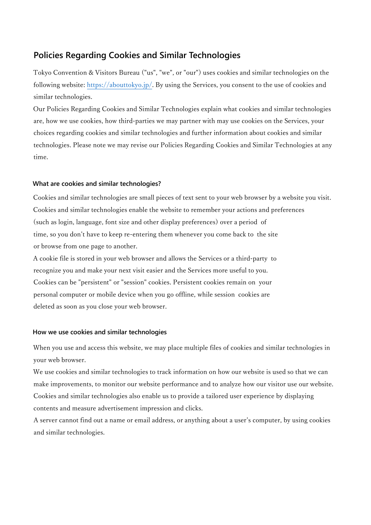## **Policies Regarding Cookies and Similar Technologies**

Tokyo Convention & Visitors Bureau ("us", "we", or "our") uses cookies and similar technologies on the following website: [https://abouttokyo.jp/.](https://abouttokyo.jp/) By using the Services, you consent to the use of cookies and similar technologies.

Our Policies Regarding Cookies and Similar Technologies explain what cookies and similar technologies are, how we use cookies, how third-parties we may partner with may use cookies on the Services, your choices regarding cookies and similar technologies and further information about cookies and similar technologies. Please note we may revise our Policies Regarding Cookies and Similar Technologies at any time.

#### **What are cookies and similar technologies?**

Cookies and similar technologies are small pieces of text sent to your web browser by a website you visit. Cookies and similar technologies enable the website to remember your actions and preferences (such as login, language, font size and other display preferences) over a period of time, so you don't have to keep re-entering them whenever you come back to the site or browse from one page to another.

A cookie file is stored in your web browser and allows the Services or a third-party to recognize you and make your next visit easier and the Services more useful to you. Cookies can be "persistent" or "session" cookies. Persistent cookies remain on your personal computer or mobile device when you go offline, while session cookies are deleted as soon as you close your web browser.

#### **How we use cookies and similar technologies**

When you use and access this website, we may place multiple files of cookies and similar technologies in your web browser.

We use cookies and similar technologies to track information on how our website is used so that we can make improvements, to monitor our website performance and to analyze how our visitor use our website. Cookies and similar technologies also enable us to provide a tailored user experience by displaying contents and measure advertisement impression and clicks.

A server cannot find out a name or email address, or anything about a user's computer, by using cookies and similar technologies.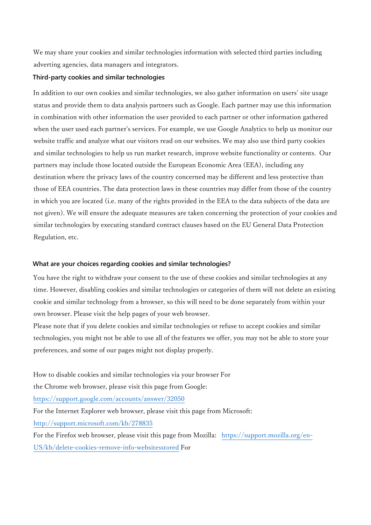We may share your cookies and similar technologies information with selected third parties including adverting agencies, data managers and integrators.

#### **Third-party cookies and similar technologies**

In addition to our own cookies and similar technologies, we also gather information on users' site usage status and provide them to data analysis partners such as Google. Each partner may use this information in combination with other information the user provided to each partner or other information gathered when the user used each partner's services. For example, we use Google Analytics to help us monitor our website traffic and analyze what our visitors read on our websites. We may also use third party cookies and similar technologies to help us run market research, improve website functionality or contents. Our partners may include those located outside the European Economic Area (EEA), including any destination where the privacy laws of the country concerned may be different and less protective than those of EEA countries. The data protection laws in these countries may differ from those of the country in which you are located (i.e. many of the rights provided in the EEA to the data subjects of the data are not given). We will ensure the adequate measures are taken concerning the protection of your cookies and similar technologies by executing standard contract clauses based on the EU General Data Protection Regulation, etc.

#### **What are your choices regarding cookies and similar technologies?**

You have the right to withdraw your consent to the use of these cookies and similar technologies at any time. However, disabling cookies and similar technologies or categories of them will not delete an existing cookie and similar technology from a browser, so this will need to be done separately from within your own browser. Please visit the help pages of your web browser.

Please note that if you delete cookies and similar technologies or refuse to accept cookies and similar technologies, you might not be able to use all of the features we offer, you may not be able to store your preferences, and some of our pages might not display properly.

How to disable cookies and similar technologies via your browser For the Chrome web browser, please visit this page from Google: <https://support.google.com/accounts/answer/32050> For the Internet Explorer web browser, please visit this page from Microsoft: <http://support.microsoft.com/kb/278835> For the Firefox web browser, please visit this page from Mozilla: [https://support.mozilla.org/en-](https://support.mozilla.org/en-US/kb/delete-cookies-remove-info-websitesstored)

[US/kb/delete-cookies-remove-info-websitesstored](https://support.mozilla.org/en-US/kb/delete-cookies-remove-info-websitesstored) [Fo](https://support.mozilla.org/en-US/kb/delete-cookies-remove-info-websitesstored)r